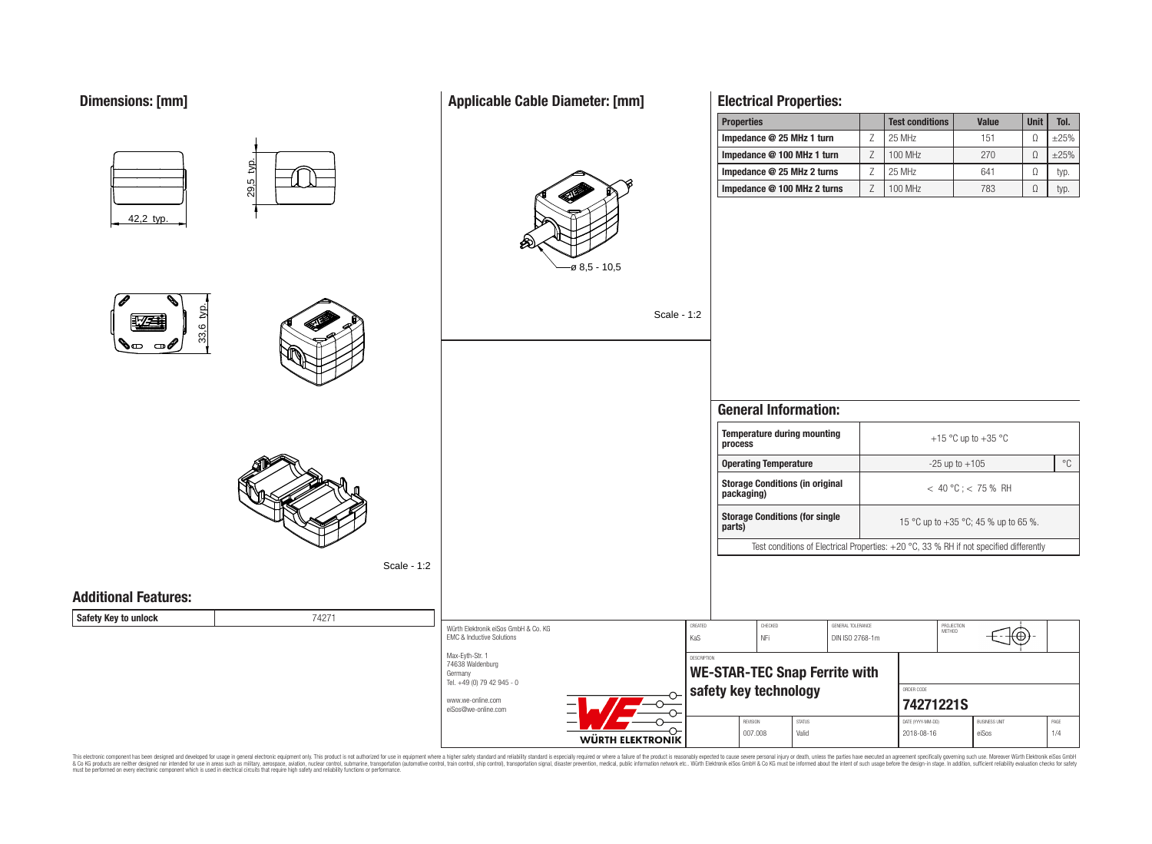# **Dimensions: [mm]**

# **Applicable Cable Diameter: [mm]**



# **Electrical Properties:**

| <b>Properties</b>           | <b>Test conditions</b> | <b>Value</b> | <b>Unit</b> | Tol.   |
|-----------------------------|------------------------|--------------|-------------|--------|
| Impedance @ 25 MHz 1 turn   | 25 MHz                 | 151          |             | $+25%$ |
| Impedance @ 100 MHz 1 turn  | 100 MHz                | 270          |             | $+25%$ |
| Impedance @ 25 MHz 2 turns  | 25 MHz                 | 641          |             | typ.   |
| Impedance @ 100 MHz 2 turns | 100 MHz                | 783          |             | typ.   |



This electronic component has been designed and developed for usage in general electronic equipment only. This product is not authorized for subserved requipment where a higher selection equipment where a higher selection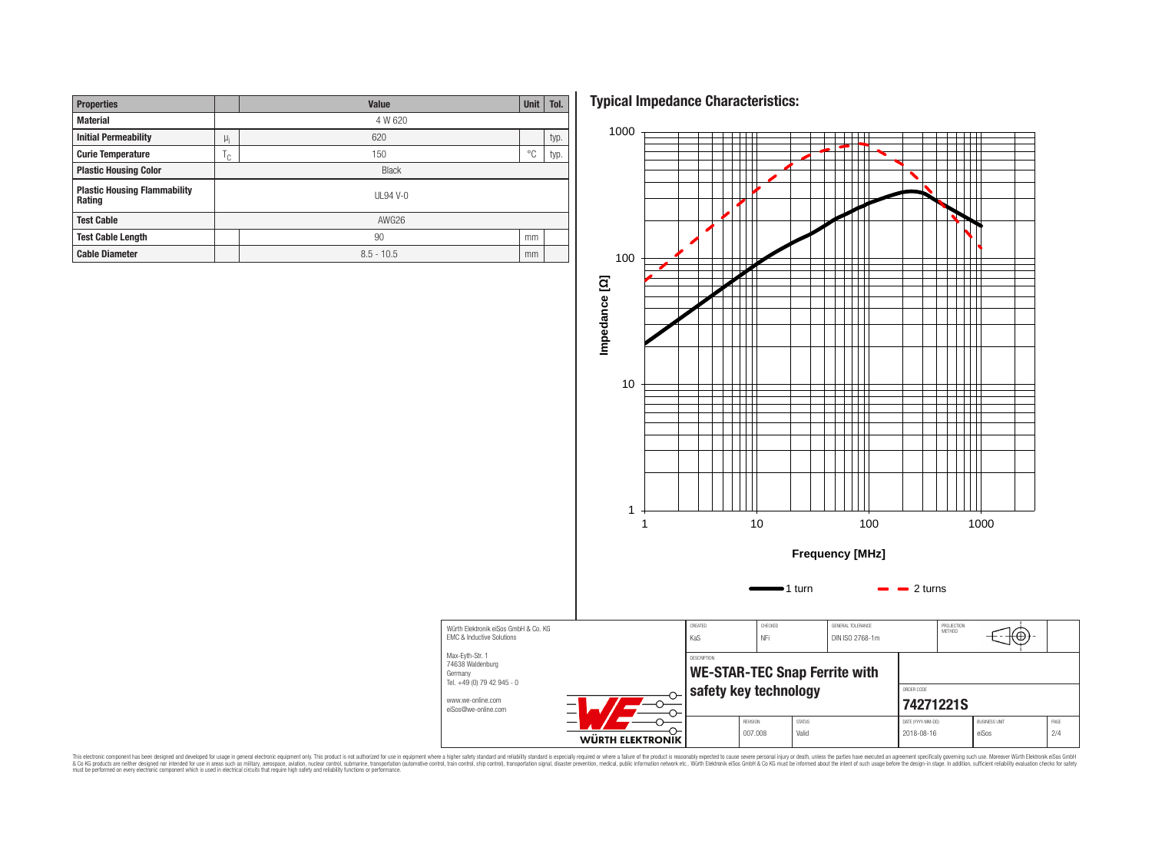| <b>Properties</b>                             |              | Value        |    |      |  |  |  |  |
|-----------------------------------------------|--------------|--------------|----|------|--|--|--|--|
| <b>Material</b>                               | 4 W 620      |              |    |      |  |  |  |  |
| <b>Initial Permeability</b>                   | $\mu_i$      | 620          |    |      |  |  |  |  |
| <b>Curie Temperature</b>                      | ١c           | 150          | °C | typ. |  |  |  |  |
| <b>Plastic Housing Color</b>                  | <b>Black</b> |              |    |      |  |  |  |  |
| <b>Plastic Housing Flammability</b><br>Rating | $UL94V-0$    |              |    |      |  |  |  |  |
| <b>Test Cable</b>                             | AWG26        |              |    |      |  |  |  |  |
| <b>Test Cable Length</b>                      |              | 90           |    |      |  |  |  |  |
| <b>Cable Diameter</b>                         |              | $8.5 - 10.5$ |    |      |  |  |  |  |

**Typical Impedance Characteristics:**



This electronic component has been designed and developed for usage in general electronic equipment only. This product is not authorized for subserved requipment where a higher selection equipment where a higher selection

Germany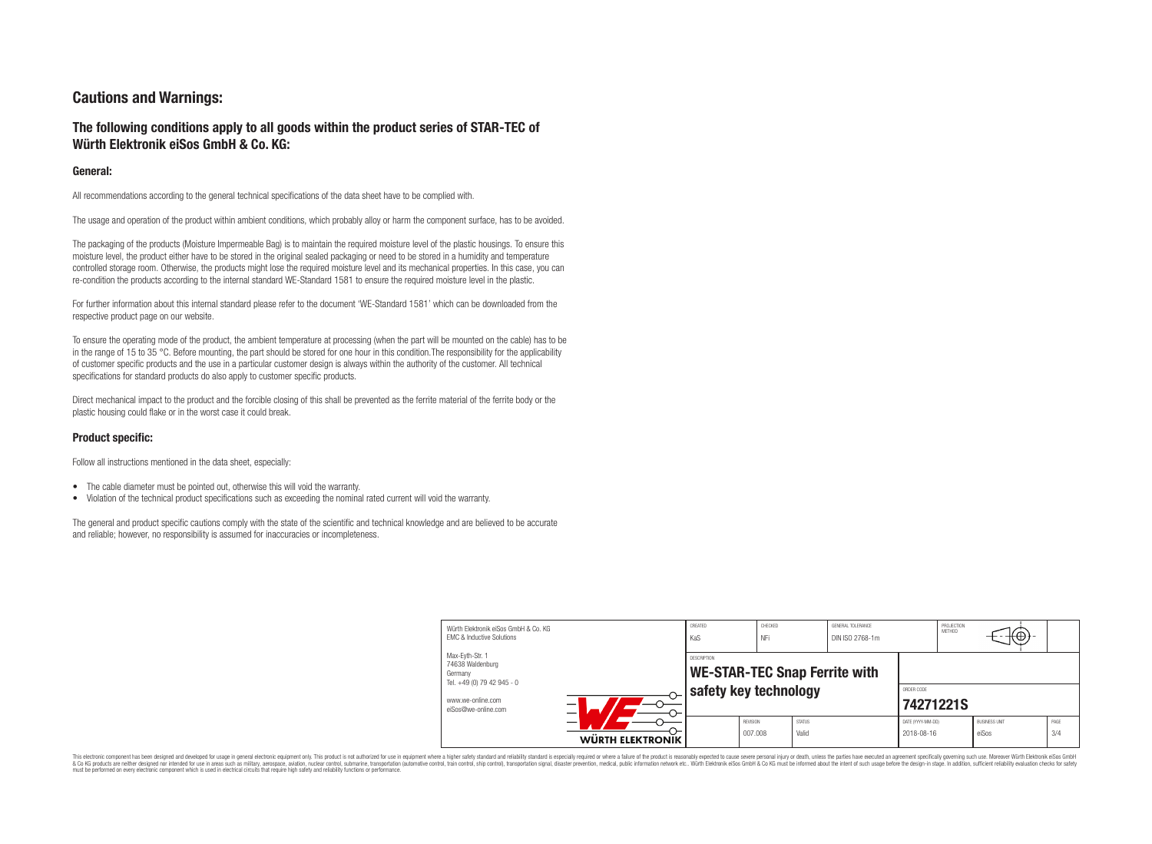# **Cautions and Warnings:**

# **The following conditions apply to all goods within the product series of STAR-TEC of Würth Elektronik eiSos GmbH & Co. KG:**

#### **General:**

All recommendations according to the general technical specifications of the data sheet have to be complied with.

The usage and operation of the product within ambient conditions, which probably alloy or harm the component surface, has to be avoided.

The packaging of the products (Moisture Impermeable Bag) is to maintain the required moisture level of the plastic housings. To ensure this moisture level, the product either have to be stored in the original sealed packaging or need to be stored in a humidity and temperature controlled storage room. Otherwise, the products might lose the required moisture level and its mechanical properties. In this case, you can re-condition the products according to the internal standard WE-Standard 1581 to ensure the required moisture level in the plastic.

For further information about this internal standard please refer to the document 'WE-Standard 1581' which can be downloaded from the respective product page on our website.

To ensure the operating mode of the product, the ambient temperature at processing (when the part will be mounted on the cable) has to be in the range of 15 to 35 °C. Before mounting, the part should be stored for one hour in this condition. The responsibility for the applicability of customer specific products and the use in a particular customer design is always within the authority of the customer. All technical specifications for standard products do also apply to customer specific products.

Direct mechanical impact to the product and the forcible closing of this shall be prevented as the ferrite material of the ferrite body or the plastic housing could flake or in the worst case it could break.

### **Product specific:**

Follow all instructions mentioned in the data sheet, especially:

- The cable diameter must be pointed out, otherwise this will void the warranty.
- Violation of the technical product specifications such as exceeding the nominal rated current will void the warranty.

The general and product specific cautions comply with the state of the scientific and technical knowledge and are believed to be accurate and reliable; however, no responsibility is assumed for inaccuracies or incompleteness.

| Würth Elektronik eiSos GmbH & Co. KG<br><b>EMC &amp; Inductive Solutions</b> | CREATED<br>CHECKED<br>GENERAL TOLERANCE<br>NFi<br>KaS<br>DIN ISO 2768-1m |                       |                            |                        | PROJECTION<br>METHOD    | ΨΨ.                             |  |                               |             |
|------------------------------------------------------------------------------|--------------------------------------------------------------------------|-----------------------|----------------------------|------------------------|-------------------------|---------------------------------|--|-------------------------------|-------------|
| Max-Eyth-Str. 1<br>74638 Waldenburg<br>Germany<br>Tel. +49 (0) 79 42 945 - 0 | DESCRIPTION<br><b>WE-STAR-TEC Snap Ferrite with</b>                      |                       |                            |                        |                         |                                 |  |                               |             |
| www.we-online.com<br>eiSos@we-online.com                                     |                                                                          | safety key technology |                            |                        | ORDER CODE<br>74271221S |                                 |  |                               |             |
|                                                                              | <b>WÜRTH ELEKTRONIK</b>                                                  |                       | <b>REVISION</b><br>007.008 | <b>STATUS</b><br>Valid |                         | DATE (YYYY-MM-DD)<br>2018-08-16 |  | <b>BUSINESS UNIT</b><br>eiSos | PAGE<br>3/4 |

This electronic component has been designed and developed for usage in general electronic equipment only. This product is not authorized for use in equipment where a higher safety standard and reliability standard is espec & Ook product a label and the membed of the seasuch as marked and as which such a membed and the such assume that income in the seasuch and the simulation and the such assume that include to the such a membed and the such